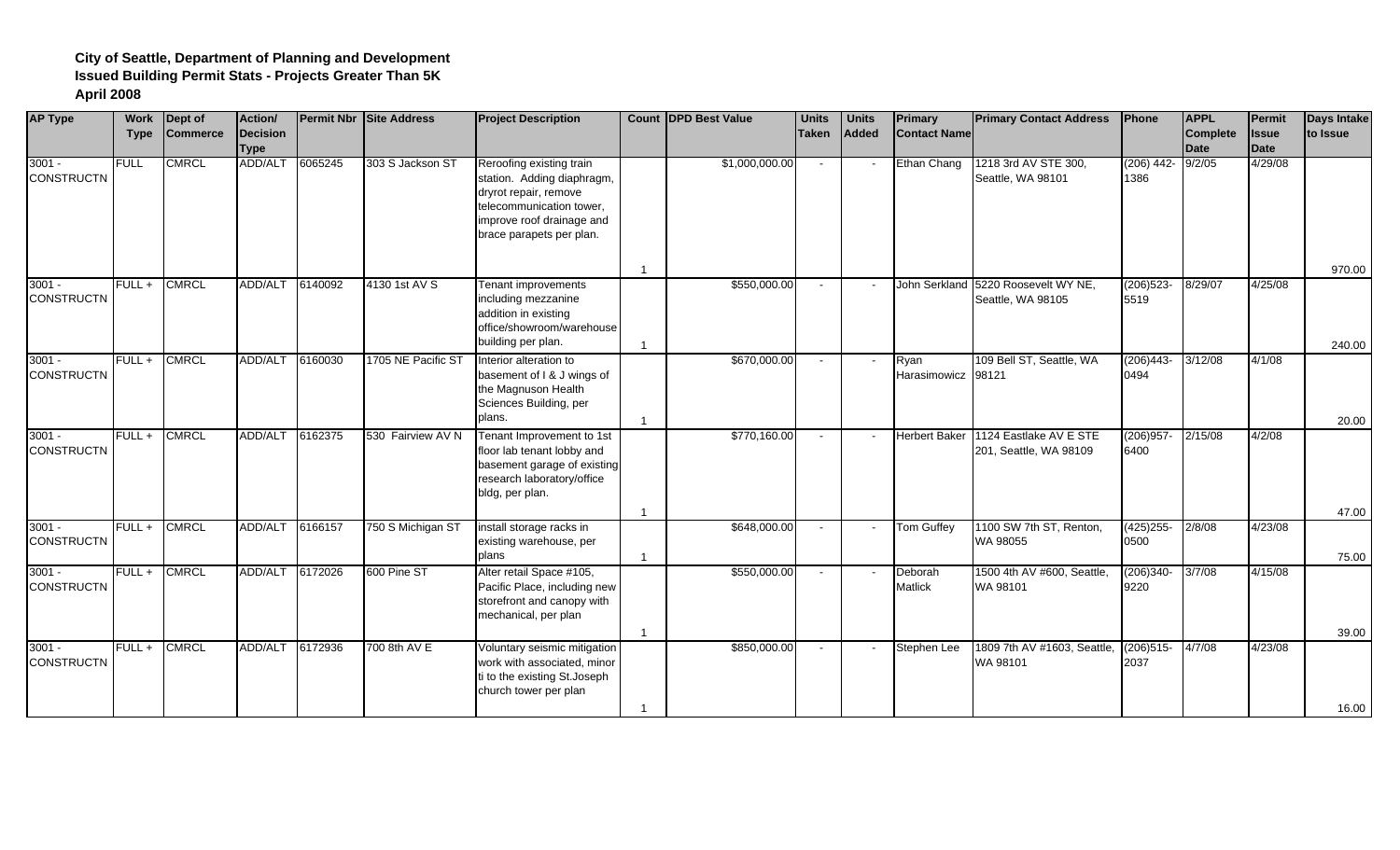| <b>AP Type</b>                | <b>Work</b><br><b>Type</b> | Dept of<br><b>Commerce</b> | Action/<br>Decision<br><b>Type</b> |         | Permit Nbr Site Address | <b>Project Description</b>                                                                                                                                           |                      | Count DPD Best Value | <b>Units</b><br><b>Taken</b> | <b>Units</b><br><b>Added</b> | Primary<br><b>Contact Name</b> | <b>Primary Contact Address</b>                   | Phone                | <b>APPL</b><br><b>Complete</b><br>Date | Permit<br><b>Issue</b><br>Date | Days Intake<br>to Issue |
|-------------------------------|----------------------------|----------------------------|------------------------------------|---------|-------------------------|----------------------------------------------------------------------------------------------------------------------------------------------------------------------|----------------------|----------------------|------------------------------|------------------------------|--------------------------------|--------------------------------------------------|----------------------|----------------------------------------|--------------------------------|-------------------------|
| $3001 -$<br><b>CONSTRUCTN</b> | <b>FULL</b>                | <b>CMRCL</b>               | ADD/ALT                            | 6065245 | 303 S Jackson ST        | Reroofing existing train<br>station. Adding diaphragm,<br>dryrot repair, remove<br>telecommunication tower,<br>improve roof drainage and<br>brace parapets per plan. |                      | \$1,000,000.00       | $\sim$                       |                              | Ethan Chang                    | 1218 3rd AV STE 300,<br>Seattle, WA 98101        | $(206)$ 442-<br>1386 | 9/2/05                                 | 4/29/08                        |                         |
| $3001 -$<br><b>CONSTRUCTN</b> | $FULL +$                   | <b>CMRCL</b>               | ADD/ALT 6140092                    |         | 4130 1st AV S           | Tenant improvements<br>including mezzanine<br>addition in existing<br>office/showroom/warehouse<br>building per plan.                                                | $\overline{1}$<br>-1 | \$550,000.00         | $\sim$                       |                              | John Serkland                  | 5220 Roosevelt WY NE,<br>Seattle, WA 98105       | $(206)523 -$<br>5519 | 8/29/07                                | 4/25/08                        | 970.00<br>240.00        |
| $3001 -$<br><b>CONSTRUCTN</b> | $FULL +$                   | <b>CMRCL</b>               | ADD/ALT 6160030                    |         | 1705 NE Pacific ST      | Interior alteration to<br>basement of I & J wings of<br>the Magnuson Health<br>Sciences Building, per<br>plans.                                                      | -1                   | \$670,000.00         | $\sim$                       |                              | Ryan<br>Harasimowicz           | 109 Bell ST, Seattle, WA<br>98121                | $(206)443-$<br>0494  | 3/12/08                                | 4/1/08                         | 20.00                   |
| $3001 -$<br><b>CONSTRUCTN</b> | FULL+                      | <b>CMRCL</b>               | ADD/ALT                            | 6162375 | 530 Fairview AV N       | Tenant Improvement to 1st<br>floor lab tenant lobby and<br>basement garage of existing<br>research laboratory/office<br>bldg, per plan.                              |                      | \$770,160.00         | $\sim$                       |                              | <b>Herbert Baker</b>           | 1124 Eastlake AV E STE<br>201, Seattle, WA 98109 | $(206)957 -$<br>6400 | 2/15/08                                | 4/2/08                         |                         |
| $3001 -$<br><b>CONSTRUCTN</b> | $FULL +$                   | <b>CMRCL</b>               | ADD/ALT 6166157                    |         | 750 S Michigan ST       | install storage racks in<br>existing warehouse, per<br>plans                                                                                                         | $\overline{1}$<br>-1 | \$648,000.00         | $\sim$                       |                              | <b>Tom Guffey</b>              | 1100 SW 7th ST, Renton,<br>WA 98055              | $(425)255-$<br>0500  | 2/8/08                                 | 4/23/08                        | 47.00<br>75.00          |
| $3001 -$<br><b>CONSTRUCTN</b> | $FULL +$                   | <b>CMRCL</b>               | ADD/ALT 6172026                    |         | 600 Pine ST             | Alter retail Space #105,<br>Pacific Place, including new<br>storefront and canopy with<br>mechanical, per plan                                                       | $\overline{1}$       | \$550,000.00         |                              |                              | Deborah<br><b>Matlick</b>      | 1500 4th AV #600, Seattle,<br>WA 98101           | $(206)340-$<br>9220  | 3/7/08                                 | 4/15/08                        | 39.00                   |
| $3001 -$<br><b>CONSTRUCTN</b> | $FULL +$                   | <b>CMRCL</b>               | ADD/ALT                            | 6172936 | 700 8th AV E            | Voluntary seismic mitigation<br>work with associated, minor<br>ti to the existing St.Joseph<br>church tower per plan                                                 | -1                   | \$850,000.00         | $\sim$                       |                              | Stephen Lee                    | 1809 7th AV #1603, Seattle,<br>WA 98101          | $(206)515-$<br>2037  | 4/7/08                                 | 4/23/08                        | 16.00                   |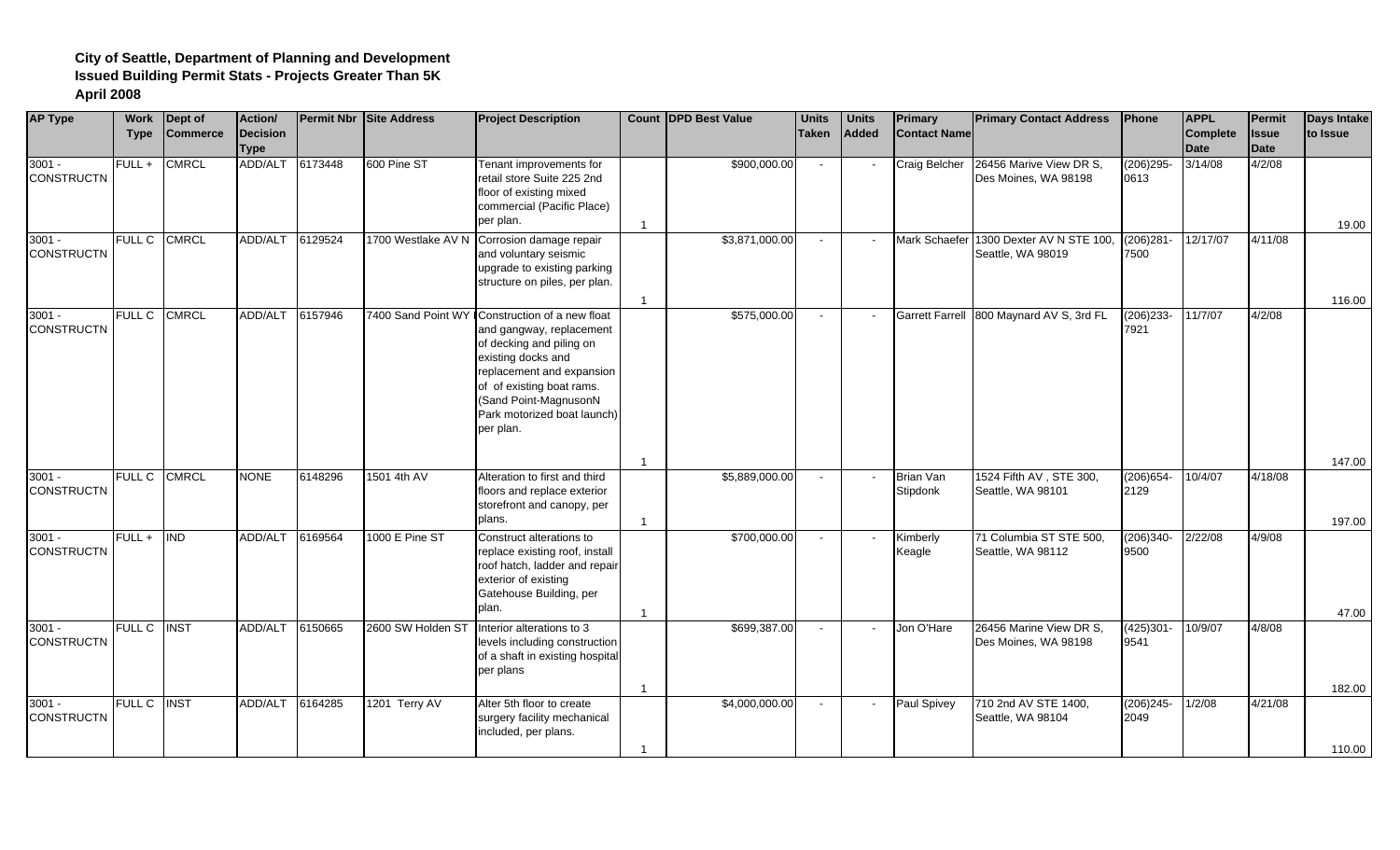| <b>AP Type</b>                | <b>Work</b><br><b>Type</b> | Dept of<br><b>Commerce</b> | Action/<br><b>Decision</b><br><b>Type</b> |         | <b>Permit Nbr Site Address</b> | <b>Project Description</b>                                                                                                                                                                                                                                  |                | <b>Count IDPD Best Value</b> | <b>Units</b><br><b>Taken</b> | <b>Units</b><br>Added | <b>Primary</b><br><b>Contact Name</b> | <b>Primary Contact Address</b>                               | <b>IPhone</b>        | <b>APPL</b><br><b>Complete</b><br><b>Date</b> | Permit<br><b>Issue</b><br>Date | <b>Days Intake</b><br>to Issue |
|-------------------------------|----------------------------|----------------------------|-------------------------------------------|---------|--------------------------------|-------------------------------------------------------------------------------------------------------------------------------------------------------------------------------------------------------------------------------------------------------------|----------------|------------------------------|------------------------------|-----------------------|---------------------------------------|--------------------------------------------------------------|----------------------|-----------------------------------------------|--------------------------------|--------------------------------|
| $3001 -$<br><b>CONSTRUCTN</b> | FULL+                      | <b>CMRCL</b>               | ADD/ALT                                   | 6173448 | 600 Pine ST                    | Tenant improvements for<br>retail store Suite 225 2nd<br>floor of existing mixed<br>commercial (Pacific Place)<br>per plan.                                                                                                                                 |                | \$900,000.00                 | $\sim$                       |                       | Craig Belcher                         | 26456 Marive View DR S,<br>Des Moines, WA 98198              | $(206)295 -$<br>0613 | 3/14/08                                       | 4/2/08                         | 19.00                          |
| $3001 -$<br><b>CONSTRUCTN</b> | <b>FULL C</b>              | <b>CMRCL</b>               | ADD/ALT                                   | 6129524 |                                | 1700 Westlake AV N Corrosion damage repair<br>and voluntary seismic<br>upgrade to existing parking<br>structure on piles, per plan.                                                                                                                         |                | \$3,871,000.00               | $\sim$                       |                       |                                       | Mark Schaefer 1300 Dexter AV N STE 100,<br>Seattle, WA 98019 | $(206)281 -$<br>7500 | 12/17/07                                      | 4/11/08                        | 116.00                         |
| $3001 -$<br><b>CONSTRUCTN</b> | <b>FULL C</b>              | <b>CMRCL</b>               | ADD/ALT                                   | 6157946 |                                | 7400 Sand Point WY Construction of a new float<br>and gangway, replacement<br>of decking and piling on<br>existing docks and<br>replacement and expansion<br>of of existing boat rams.<br>(Sand Point-MagnusonN<br>Park motorized boat launch)<br>per plan. |                | \$575,000.00                 | $\sim$                       |                       | <b>Garrett Farrell</b>                | 800 Maynard AV S, 3rd FL                                     | $(206)233 -$<br>7921 | 11/7/07                                       | 4/2/08                         |                                |
| $3001 -$<br><b>CONSTRUCTN</b> | <b>FULL C</b>              | <b>CMRCL</b>               | <b>NONE</b>                               | 6148296 | 1501 4th AV                    | Alteration to first and third<br>floors and replace exterior<br>storefront and canopy, per<br>plans.                                                                                                                                                        | $\overline{1}$ | \$5,889,000.00               | $\sim$                       |                       | <b>Brian Van</b><br>Stipdonk          | 1524 Fifth AV, STE 300,<br>Seattle, WA 98101                 | $(206)654 -$<br>2129 | 10/4/07                                       | 4/18/08                        | 147.00<br>197.00               |
| $3001 -$<br><b>CONSTRUCTN</b> | FULL+                      | <b>IND</b>                 | <b>ADD/ALT</b>                            | 6169564 | 1000 E Pine ST                 | Construct alterations to<br>replace existing roof, install<br>roof hatch, ladder and repair<br>exterior of existing<br>Gatehouse Building, per<br>plan.                                                                                                     |                | \$700,000.00                 | $\sim$                       |                       | Kimberly<br>Keagle                    | 71 Columbia ST STE 500,<br>Seattle, WA 98112                 | $(206)340 -$<br>9500 | 2/22/08                                       | 4/9/08                         | 47.00                          |
| $3001 -$<br><b>CONSTRUCTN</b> | <b>FULL C</b>              | <b>INST</b>                | <b>ADD/ALT</b>                            | 6150665 | 2600 SW Holden ST              | Interior alterations to 3<br>levels including construction<br>of a shaft in existing hospital<br>per plans                                                                                                                                                  | -1             | \$699,387.00                 | $\sim$                       |                       | Jon O'Hare                            | 26456 Marine View DR S,<br>Des Moines, WA 98198              | $(425)301 -$<br>9541 | 10/9/07                                       | 4/8/08                         | 182.00                         |
| $3001 -$<br><b>CONSTRUCTN</b> | <b>FULL C</b>              | <b>INST</b>                | ADD/ALT                                   | 6164285 | 1201 Terry AV                  | Alter 5th floor to create<br>surgery facility mechanical<br>included, per plans.                                                                                                                                                                            |                | \$4,000,000.00               | $\sim$                       |                       | Paul Spivey                           | 710 2nd AV STE 1400,<br>Seattle, WA 98104                    | $(206)245 -$<br>2049 | 1/2/08                                        | 4/21/08                        | 110.00                         |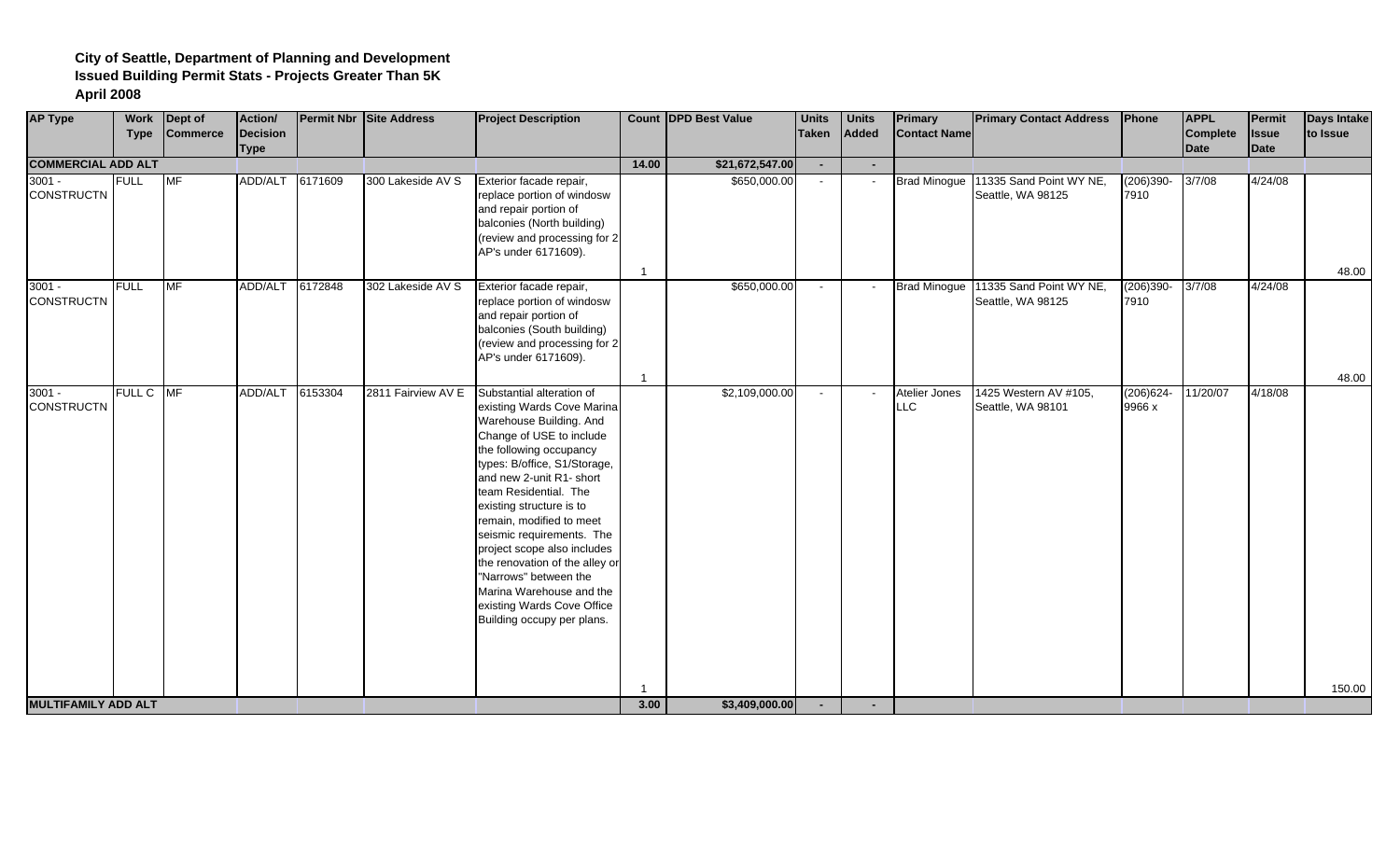| <b>AP Type</b>                | <b>Work</b> | Dept of         | Action/     |         | <b>Permit Nbr Site Address</b> | <b>Project Description</b>                                                                                                                                                                                                                                                                                                                                                                                                                                                                            |                | <b>Count DPD Best Value</b> | <b>Units</b>   | <b>Units</b>             | Primary                     | <b>Primary Contact Address</b>                            | Phone                  | <b>APPL</b> | Permit       | <b>Days Intake</b> |
|-------------------------------|-------------|-----------------|-------------|---------|--------------------------------|-------------------------------------------------------------------------------------------------------------------------------------------------------------------------------------------------------------------------------------------------------------------------------------------------------------------------------------------------------------------------------------------------------------------------------------------------------------------------------------------------------|----------------|-----------------------------|----------------|--------------------------|-----------------------------|-----------------------------------------------------------|------------------------|-------------|--------------|--------------------|
|                               | <b>Type</b> | <b>Commerce</b> | Decision    |         |                                |                                                                                                                                                                                                                                                                                                                                                                                                                                                                                                       |                |                             | <b>Taken</b>   | Added                    | <b>Contact Name</b>         |                                                           |                        | Complete    | <b>Issue</b> | to Issue           |
|                               |             |                 | <b>Type</b> |         |                                |                                                                                                                                                                                                                                                                                                                                                                                                                                                                                                       |                |                             | $\sim$         | $\sim$                   |                             |                                                           |                        | <b>Date</b> | Date         |                    |
| <b>COMMERCIAL ADD ALT</b>     |             |                 |             |         |                                |                                                                                                                                                                                                                                                                                                                                                                                                                                                                                                       | 14.00          | \$21,672,547.00             |                |                          |                             |                                                           |                        |             |              |                    |
| $3001 -$<br><b>CONSTRUCTN</b> | <b>FULL</b> | <b>MF</b>       | ADD/ALT     | 6171609 | 300 Lakeside AV S              | Exterior facade repair,<br>replace portion of windosw<br>and repair portion of<br>balconies (North building)<br>(review and processing for 2<br>AP's under 6171609).                                                                                                                                                                                                                                                                                                                                  | -1             | \$650,000.00                | $\sim$         |                          | <b>Brad Minogue</b>         | 11335 Sand Point WY NE,<br>Seattle, WA 98125              | $(206)390 -$<br>7910   | 3/7/08      | 4/24/08      | 48.00              |
| $3001 -$<br><b>CONSTRUCTN</b> | <b>FULL</b> | MF              | ADD/ALT     | 6172848 | 302 Lakeside AV S              | Exterior facade repair,<br>replace portion of windosw<br>and repair portion of<br>balconies (South building)<br>(review and processing for 2<br>AP's under 6171609).                                                                                                                                                                                                                                                                                                                                  | $\overline{1}$ | \$650,000.00                | $\sim$         |                          |                             | Brad Minogue 11335 Sand Point WY NE,<br>Seattle, WA 98125 | $(206)390 -$<br>7910   | 3/7/08      | 4/24/08      | 48.00              |
| $3001 -$<br><b>CONSTRUCTN</b> | FULL C MF   |                 | ADD/ALT     | 6153304 | 2811 Fairview AV E             | Substantial alteration of<br>existing Wards Cove Marina<br>Warehouse Building. And<br>Change of USE to include<br>the following occupancy<br>types: B/office, S1/Storage,<br>and new 2-unit R1- short<br>team Residential. The<br>existing structure is to<br>remain, modified to meet<br>seismic requirements. The<br>project scope also includes<br>the renovation of the alley or<br>"Narrows" between the<br>Marina Warehouse and the<br>existing Wards Cove Office<br>Building occupy per plans. |                | \$2,109,000.00              | $\sim$         |                          | Atelier Jones<br><b>LLC</b> | 1425 Western AV #105,<br>Seattle, WA 98101                | $(206)624 -$<br>9966 x | 11/20/07    | 4/18/08      | 150.00             |
| <b>MULTIFAMILY ADD ALT</b>    |             |                 |             |         |                                |                                                                                                                                                                                                                                                                                                                                                                                                                                                                                                       | 3.00           | \$3,409,000.00              | $\blacksquare$ | $\overline{\phantom{0}}$ |                             |                                                           |                        |             |              |                    |
|                               |             |                 |             |         |                                |                                                                                                                                                                                                                                                                                                                                                                                                                                                                                                       |                |                             |                |                          |                             |                                                           |                        |             |              |                    |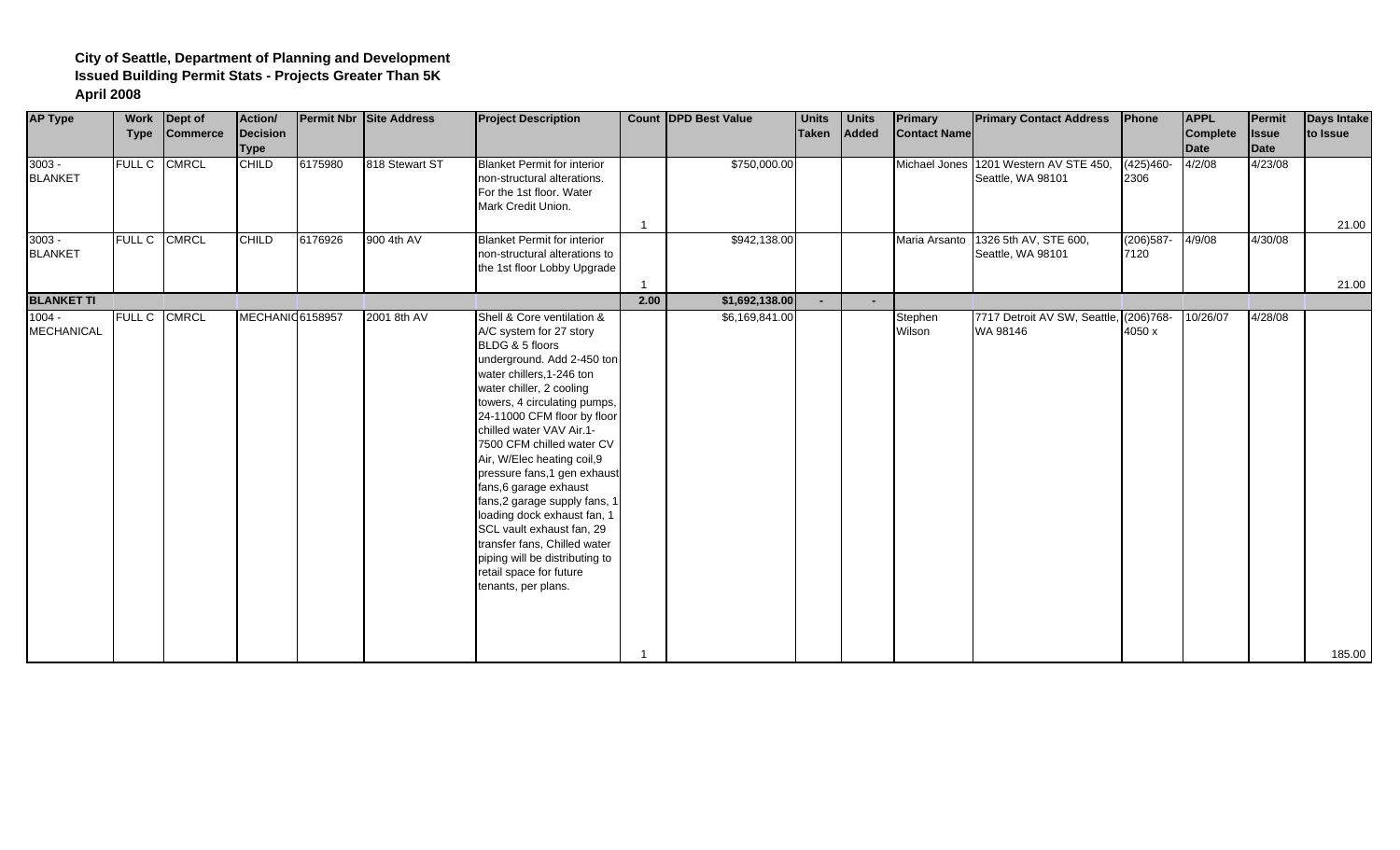| <b>AP Type</b>                | <b>Work</b><br><b>Type</b> | Dept of<br><b>Commerce</b> | Action/<br>Decision<br><b>Type</b> |         | <b>Permit Nbr Site Address</b> | <b>Project Description</b>                                                                                                                                                                                                                                                                                                                                                                                                                                                                                                                                                                       |      | <b>Count DPD Best Value</b> | <b>Units</b><br><b>Taken</b> | <b>Units</b><br>Added | Primary<br><b>Contact Name</b> | <b>Primary Contact Address</b>                              | Phone                | <b>APPL</b><br><b>Complete</b><br><b>Date</b> | <b>Permit</b><br><b>Issue</b><br>Date | <b>Days Intake</b><br>to Issue |
|-------------------------------|----------------------------|----------------------------|------------------------------------|---------|--------------------------------|--------------------------------------------------------------------------------------------------------------------------------------------------------------------------------------------------------------------------------------------------------------------------------------------------------------------------------------------------------------------------------------------------------------------------------------------------------------------------------------------------------------------------------------------------------------------------------------------------|------|-----------------------------|------------------------------|-----------------------|--------------------------------|-------------------------------------------------------------|----------------------|-----------------------------------------------|---------------------------------------|--------------------------------|
| $3003 -$<br><b>BLANKET</b>    |                            | FULL C CMRCL               | <b>CHILD</b>                       | 6175980 | 818 Stewart ST                 | <b>Blanket Permit for interior</b><br>non-structural alterations.<br>For the 1st floor. Water<br>Mark Credit Union.                                                                                                                                                                                                                                                                                                                                                                                                                                                                              |      | \$750,000.00                |                              |                       |                                | Michael Jones 1201 Western AV STE 450,<br>Seattle, WA 98101 | $(425)460-$<br>2306  | 4/2/08                                        | 4/23/08                               | 21.00                          |
| $3003 -$<br><b>BLANKET</b>    | FULL C CMRCL               |                            | <b>CHILD</b>                       | 6176926 | 900 4th AV                     | <b>Blanket Permit for interior</b><br>non-structural alterations to<br>the 1st floor Lobby Upgrade                                                                                                                                                                                                                                                                                                                                                                                                                                                                                               |      | \$942,138.00                |                              |                       | Maria Arsanto                  | 1326 5th AV, STE 600,<br>Seattle, WA 98101                  | $(206)587 -$<br>7120 | 4/9/08                                        | 4/30/08                               | 21.00                          |
| <b>BLANKET TI</b>             |                            |                            |                                    |         |                                |                                                                                                                                                                                                                                                                                                                                                                                                                                                                                                                                                                                                  | 2.00 | \$1,692,138.00              | $\blacksquare$               |                       |                                |                                                             |                      |                                               |                                       |                                |
| $1004 -$<br><b>MECHANICAL</b> | FULL C CMRCL               |                            | MECHANIO 6158957                   |         | 2001 8th AV                    | Shell & Core ventilation &<br>A/C system for 27 story<br>BLDG & 5 floors<br>underground. Add 2-450 ton<br>water chillers, 1-246 ton<br>water chiller, 2 cooling<br>towers, 4 circulating pumps,<br>24-11000 CFM floor by floor<br>chilled water VAV Air.1-<br>7500 CFM chilled water CV<br>Air, W/Elec heating coil, 9<br>pressure fans, 1 gen exhaust<br>fans, 6 garage exhaust<br>fans,2 garage supply fans, 1<br>loading dock exhaust fan, 1<br>SCL vault exhaust fan, 29<br>transfer fans, Chilled water<br>piping will be distributing to<br>retail space for future<br>tenants, per plans. |      | \$6,169,841.00              |                              |                       | Stephen<br>Wilson              | 7717 Detroit AV SW, Seattle, (206)768-<br>WA 98146          | 4050 x               | 10/26/07                                      | 4/28/08                               | 185.00                         |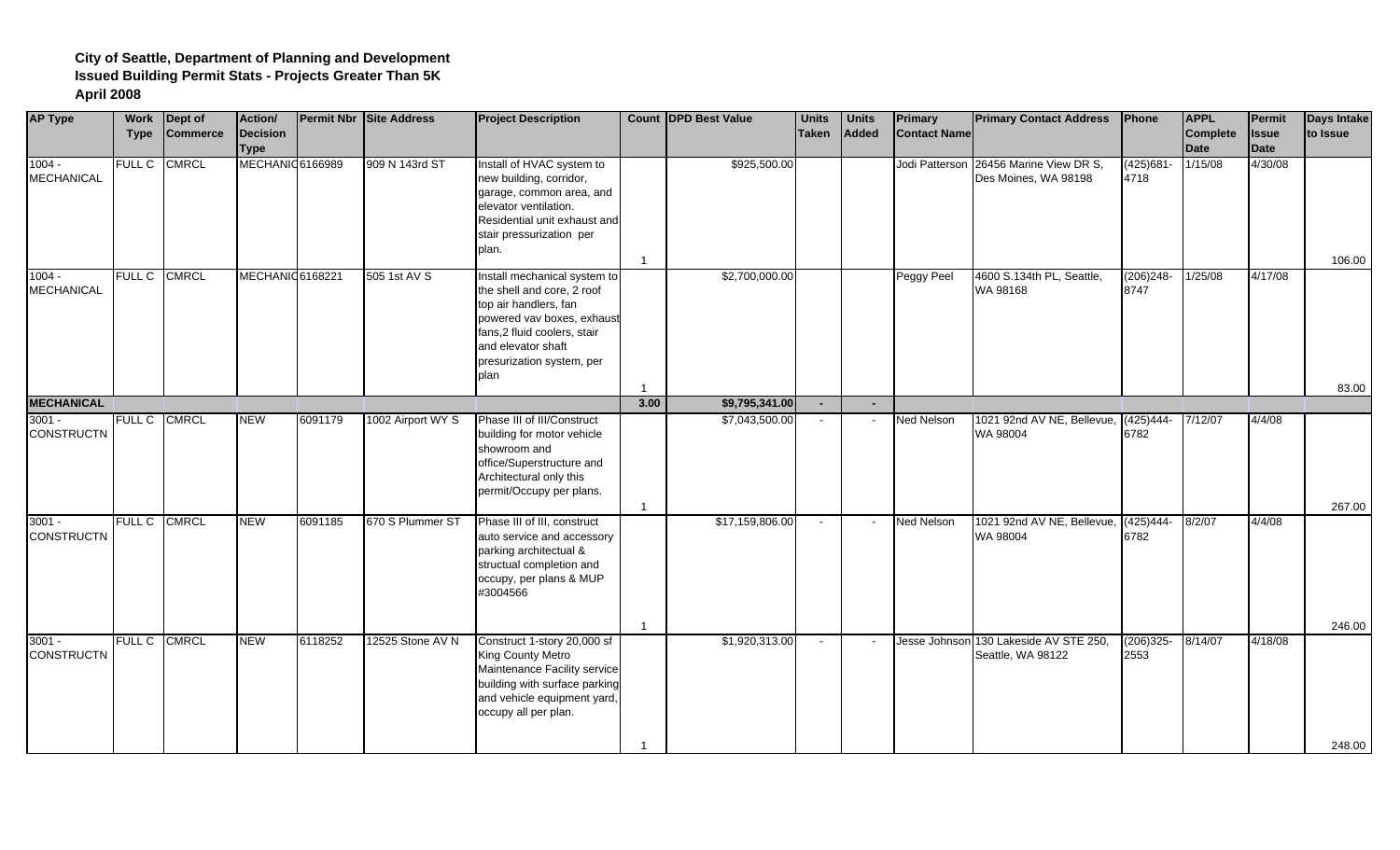| <b>AP Type</b>                | Work<br><b>Type</b> | Dept of<br><b>Commerce</b> | Action/<br>Decision<br><b>Type</b> |         | <b>Permit Nbr Site Address</b> | <b>Project Description</b>                                                                                                                                                                                  |                | <b>Count IDPD Best Value</b> | <b>Units</b><br><b>Taken</b> | <b>Units</b><br>Added | Primary<br><b>Contact Name</b> | <b>Primary Contact Address</b>                   | Phone                | <b>APPL</b><br>Complete<br>Date | Permit<br><b>Issue</b><br>Date | Days Intake<br>to Issue |
|-------------------------------|---------------------|----------------------------|------------------------------------|---------|--------------------------------|-------------------------------------------------------------------------------------------------------------------------------------------------------------------------------------------------------------|----------------|------------------------------|------------------------------|-----------------------|--------------------------------|--------------------------------------------------|----------------------|---------------------------------|--------------------------------|-------------------------|
| $1004 -$<br><b>MECHANICAL</b> | <b>FULL C</b>       | <b>CMRCL</b>               | MECHANIC 6166989                   |         | 909 N 143rd ST                 | Install of HVAC system to<br>new building, corridor,<br>garage, common area, and<br>elevator ventilation.<br>Residential unit exhaust and<br>stair pressurization per<br>plan.                              | $\overline{1}$ | \$925,500.00                 |                              |                       | Jodi Patterson                 | 26456 Marine View DR S,<br>Des Moines, WA 98198  | $(425)681 -$<br>4718 | 1/15/08                         | 4/30/08                        | 106.00                  |
| $1004 -$<br><b>MECHANICAL</b> | <b>FULL C</b>       | <b>CMRCL</b>               | MECHANIC 6168221                   |         | 505 1st AV S                   | Install mechanical system to<br>the shell and core, 2 roof<br>top air handlers, fan<br>powered vav boxes, exhaust<br>fans,2 fluid coolers, stair<br>and elevator shaft<br>presurization system, per<br>plan |                | \$2,700,000.00               |                              |                       | Peggy Peel                     | 4600 S.134th PL, Seattle,<br>WA 98168            | $(206)248 -$<br>8747 | 1/25/08                         | 4/17/08                        | 83.00                   |
| <b>MECHANICAL</b>             |                     |                            |                                    |         |                                |                                                                                                                                                                                                             | 3.00           | \$9,795,341.00               | $\blacksquare$               |                       |                                |                                                  |                      |                                 |                                |                         |
| $3001 -$<br><b>CONSTRUCTN</b> | FULL C              | <b>CMRCL</b>               | <b>NEW</b>                         | 6091179 | 1002 Airport WY S              | Phase III of III/Construct<br>building for motor vehicle<br>showroom and<br>office/Superstructure and<br>Architectural only this<br>permit/Occupy per plans.                                                |                | \$7,043,500.00               | $\mathbf{r}$                 |                       | <b>Ned Nelson</b>              | 1021 92nd AV NE, Bellevue,<br>WA 98004           | $(425)444-$<br>6782  | 7/12/07                         | 4/4/08                         | 267.00                  |
| $3001 -$<br><b>CONSTRUCTN</b> | <b>FULL C</b>       | <b>CMRCL</b>               | <b>NEW</b>                         | 6091185 | 670 S Plummer ST               | Phase III of III, construct<br>auto service and accessory<br>parking architectual &<br>structual completion and<br>occupy, per plans & MUP<br>#3004566                                                      |                | \$17,159,806.00              | $\sim$                       |                       | Ned Nelson                     | 1021 92nd AV NE, Bellevue, (425)444-<br>WA 98004 | 6782                 | 8/2/07                          | 4/4/08                         | 246.00                  |
| $3001 -$<br><b>CONSTRUCTN</b> | <b>FULL C</b>       | <b>CMRCL</b>               | <b>NEW</b>                         | 6118252 | 12525 Stone AV N               | Construct 1-story 20,000 sf<br>King County Metro<br>Maintenance Facility service<br>building with surface parking<br>and vehicle equipment yard,<br>occupy all per plan.                                    | -1             | \$1,920,313.00               | $\blacksquare$               |                       | Jesse Johnson                  | 130 Lakeside AV STE 250,<br>Seattle, WA 98122    | $(206)325 -$<br>2553 | 8/14/07                         | 4/18/08                        | 248.00                  |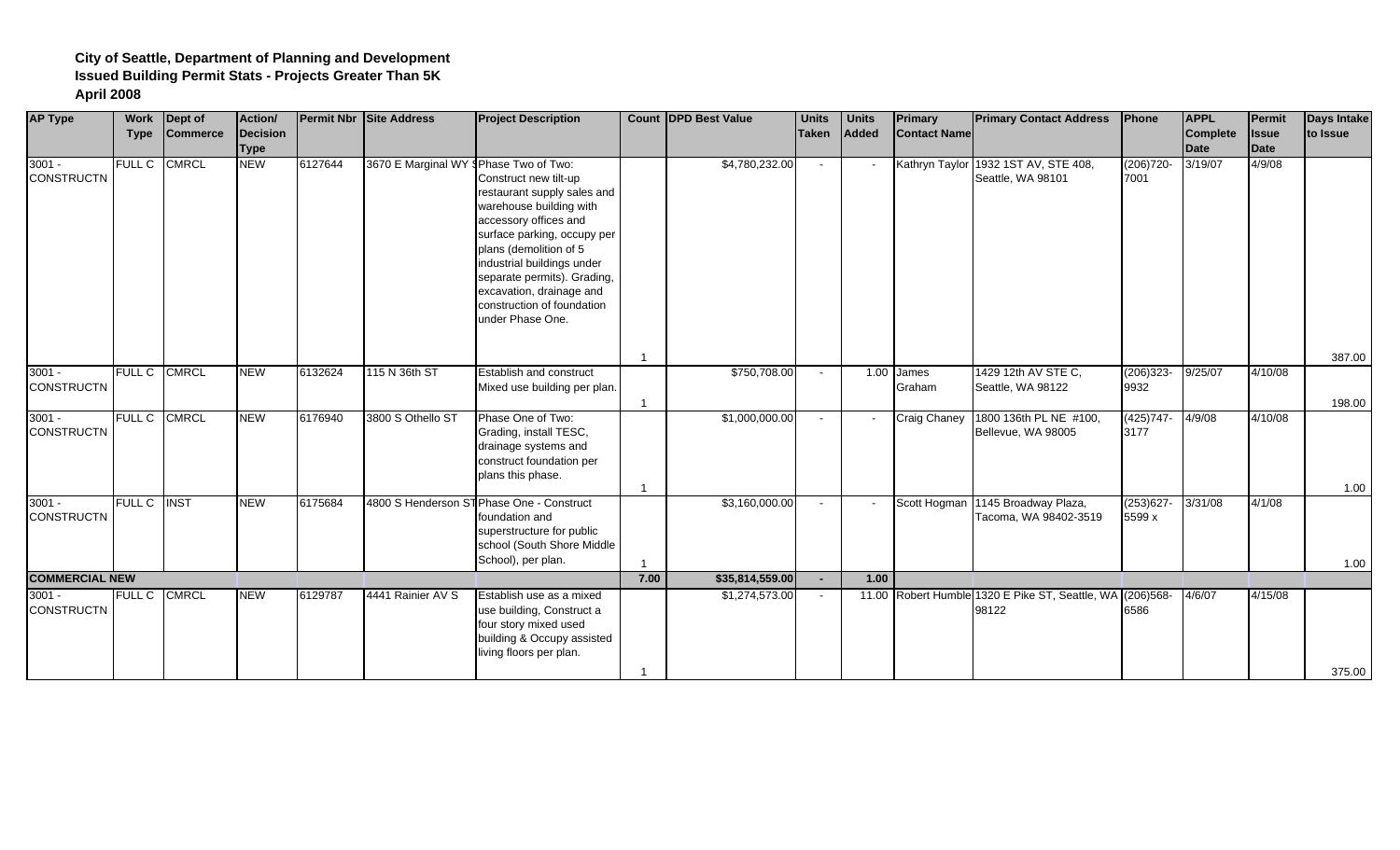| <b>AP Type</b>                | Work               | Dept of         | Action/                        |         | Permit Nbr Site Address                | <b>Project Description</b>                                                                                                                                                                                                                                                                                   |      | <b>Count DPD Best Value</b> | <b>Units</b> | <b>Units</b> | <b>Primary</b>      | <b>Primary Contact Address</b>                                     | Phone                  | <b>APPL</b>                    | Permit                      | <b>Days Intake</b> |
|-------------------------------|--------------------|-----------------|--------------------------------|---------|----------------------------------------|--------------------------------------------------------------------------------------------------------------------------------------------------------------------------------------------------------------------------------------------------------------------------------------------------------------|------|-----------------------------|--------------|--------------|---------------------|--------------------------------------------------------------------|------------------------|--------------------------------|-----------------------------|--------------------|
|                               | <b>Type</b>        | <b>Commerce</b> | <b>Decision</b><br><b>Type</b> |         |                                        |                                                                                                                                                                                                                                                                                                              |      |                             | <b>Taken</b> | Added        | <b>Contact Name</b> |                                                                    |                        | <b>Complete</b><br><b>Date</b> | <b>Issue</b><br><b>Date</b> | to Issue           |
| $3001 -$<br><b>CONSTRUCTN</b> | FULL C             | <b>CMRCL</b>    | <b>NEW</b>                     | 6127644 | 3670 E Marginal WY § Phase Two of Two: | Construct new tilt-up<br>restaurant supply sales and<br>warehouse building with<br>accessory offices and<br>surface parking, occupy per<br>plans (demolition of 5<br>industrial buildings under<br>separate permits). Grading,<br>excavation, drainage and<br>construction of foundation<br>under Phase One. |      | \$4,780,232.00              | $\sim$       |              |                     | Kathryn Taylor 1932 1ST AV, STE 408,<br>Seattle, WA 98101          | $(206)720 -$<br>7001   | 3/19/07                        | 4/9/08                      | 387.00             |
| $3001 -$<br><b>CONSTRUCTN</b> | <b>FULL C</b>      | <b>CMRCL</b>    | <b>NEW</b>                     | 6132624 | 115 N 36th ST                          | Establish and construct<br>Mixed use building per plan.                                                                                                                                                                                                                                                      |      | \$750,708.00                | $\sim$       | 1.00         | James<br>Graham     | 1429 12th AV STE C,<br>Seattle, WA 98122                           | $(206)323 -$<br>9932   | 9/25/07                        | 4/10/08                     | 198.00             |
| $3001 -$<br><b>CONSTRUCTN</b> | <b>FULL C</b>      | <b>CMRCL</b>    | <b>NEW</b>                     | 6176940 | 3800 S Othello ST                      | Phase One of Two:<br>Grading, install TESC,<br>drainage systems and<br>construct foundation per<br>plans this phase.                                                                                                                                                                                         |      | \$1,000,000.00              | $\sim$       |              | <b>Craig Chaney</b> | 1800 136th PL NE #100,<br>Bellevue, WA 98005                       | $(425)747-$<br>3177    | 4/9/08                         | 4/10/08                     | 1.00               |
| $3001 -$<br><b>CONSTRUCTN</b> | <b>FULL C INST</b> |                 | <b>NEW</b>                     | 6175684 |                                        | 4800 S Henderson ST Phase One - Construct<br>foundation and<br>superstructure for public<br>school (South Shore Middle<br>School), per plan.                                                                                                                                                                 |      | \$3,160,000.00              | $\sim$       |              |                     | Scott Hogman 1145 Broadway Plaza,<br>Tacoma, WA 98402-3519         | $(253)627 -$<br>5599 x | 3/31/08                        | 4/1/08                      | 1.00               |
| <b>COMMERCIAL NEW</b>         |                    |                 |                                |         |                                        |                                                                                                                                                                                                                                                                                                              | 7.00 | \$35,814,559.00             | $\sim$       | 1.00         |                     |                                                                    |                        |                                |                             |                    |
| $3001 -$<br><b>CONSTRUCTN</b> | <b>FULL C</b>      | <b>CMRCL</b>    | <b>NEW</b>                     | 6129787 | 4441 Rainier AV S                      | Establish use as a mixed<br>use building, Construct a<br>four story mixed used<br>building & Occupy assisted<br>living floors per plan.                                                                                                                                                                      |      | \$1,274,573.00              | $\sim$       |              |                     | 11.00 Robert Humble 1320 E Pike ST, Seattle, WA (206)568-<br>98122 | 6586                   | 4/6/07                         | 4/15/08                     | 375.00             |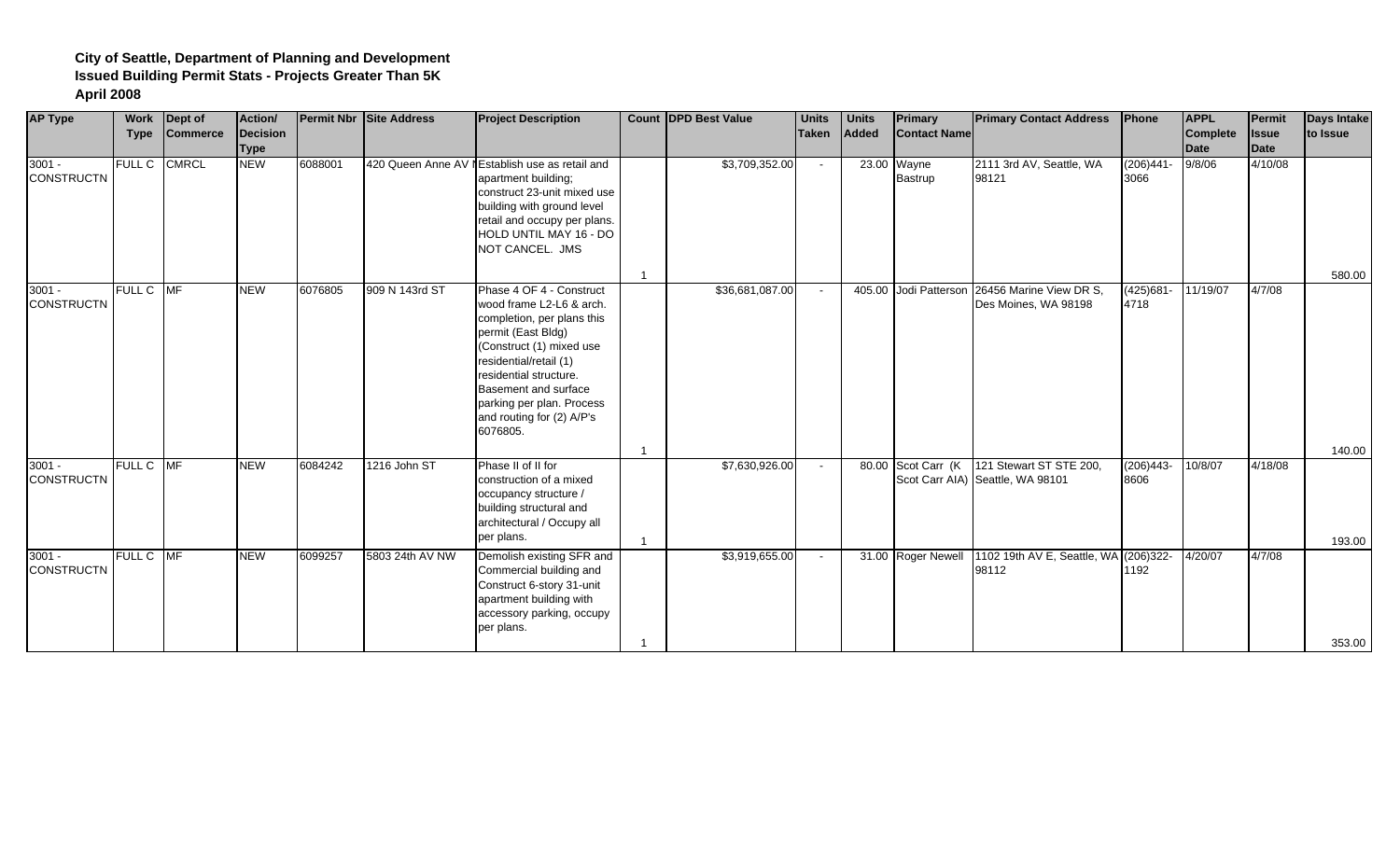| <b>AP Type</b>                | <b>Work</b><br><b>Type</b> | Dept of<br><b>Commerce</b> | Action/<br>Decision<br><b>Type</b> |         | <b>Permit Nbr Site Address</b> | <b>Project Description</b>                                                                                                                                                                                                                                                             |                | Count DPD Best Value | <b>Units</b><br><b>Taken</b> | <b>Units</b><br>Added | Primary<br><b>Contact Name</b> | <b>Primary Contact Address</b>                                                 | Phone                | <b>APPL</b><br><b>Complete</b><br><b>Date</b> | <b>Permit</b><br><b>Issue</b><br>Date | <b>Days Intake</b><br>to Issue |
|-------------------------------|----------------------------|----------------------------|------------------------------------|---------|--------------------------------|----------------------------------------------------------------------------------------------------------------------------------------------------------------------------------------------------------------------------------------------------------------------------------------|----------------|----------------------|------------------------------|-----------------------|--------------------------------|--------------------------------------------------------------------------------|----------------------|-----------------------------------------------|---------------------------------------|--------------------------------|
| $3001 -$<br><b>CONSTRUCTN</b> | <b>FULL C</b>              | <b>CMRCL</b>               | <b>NEW</b>                         | 6088001 |                                | 420 Queen Anne AV I Establish use as retail and<br>apartment building;<br>construct 23-unit mixed use<br>building with ground level<br>retail and occupy per plans.<br>HOLD UNTIL MAY 16 - DO<br>NOT CANCEL. JMS                                                                       | $\overline{1}$ | \$3,709,352.00       | $\sim$                       |                       | 23.00 Wayne<br>Bastrup         | 2111 3rd AV, Seattle, WA<br>98121                                              | $(206)441 -$<br>3066 | 9/8/06                                        | 4/10/08                               | 580.00                         |
| $3001 -$<br><b>CONSTRUCTN</b> | FULL C MF                  |                            | <b>NEW</b>                         | 6076805 | 909 N 143rd ST                 | Phase 4 OF 4 - Construct<br>wood frame L2-L6 & arch.<br>completion, per plans this<br>permit (East Bldg)<br>(Construct (1) mixed use<br>residential/retail (1)<br>residential structure.<br>Basement and surface<br>parking per plan. Process<br>and routing for (2) A/P's<br>6076805. | $\mathbf 1$    | \$36,681,087.00      | $\sim$                       |                       |                                | 405.00 Jodi Patterson 26456 Marine View DR S,<br>Des Moines, WA 98198          | $(425)681 -$<br>4718 | 11/19/07                                      | 4/7/08                                | 140.00                         |
| $3001 -$<br><b>CONSTRUCTN</b> | FULL C MF                  |                            | <b>NEW</b>                         | 6084242 | 1216 John ST                   | Phase II of II for<br>construction of a mixed<br>occupancy structure /<br>building structural and<br>architectural / Occupy all<br>per plans.                                                                                                                                          | $\overline{1}$ | \$7,630,926.00       | $\sim$                       |                       |                                | 80.00 Scot Carr (K 121 Stewart ST STE 200,<br>Scot Carr AIA) Seattle, WA 98101 | $(206)443-$<br>8606  | 10/8/07                                       | 4/18/08                               | 193.00                         |
| $3001 -$<br><b>CONSTRUCTN</b> | FULL C MF                  |                            | <b>NEW</b>                         | 6099257 | 5803 24th AV NW                | Demolish existing SFR and<br>Commercial building and<br>Construct 6-story 31-unit<br>apartment building with<br>accessory parking, occupy<br>per plans.                                                                                                                                | -1             | \$3,919,655.00       | $\sim$                       |                       | 31.00 Roger Newell             | 1102 19th AV E, Seattle, WA (206)322-<br>98112                                 | 1192                 | 4/20/07                                       | 4/7/08                                | 353.00                         |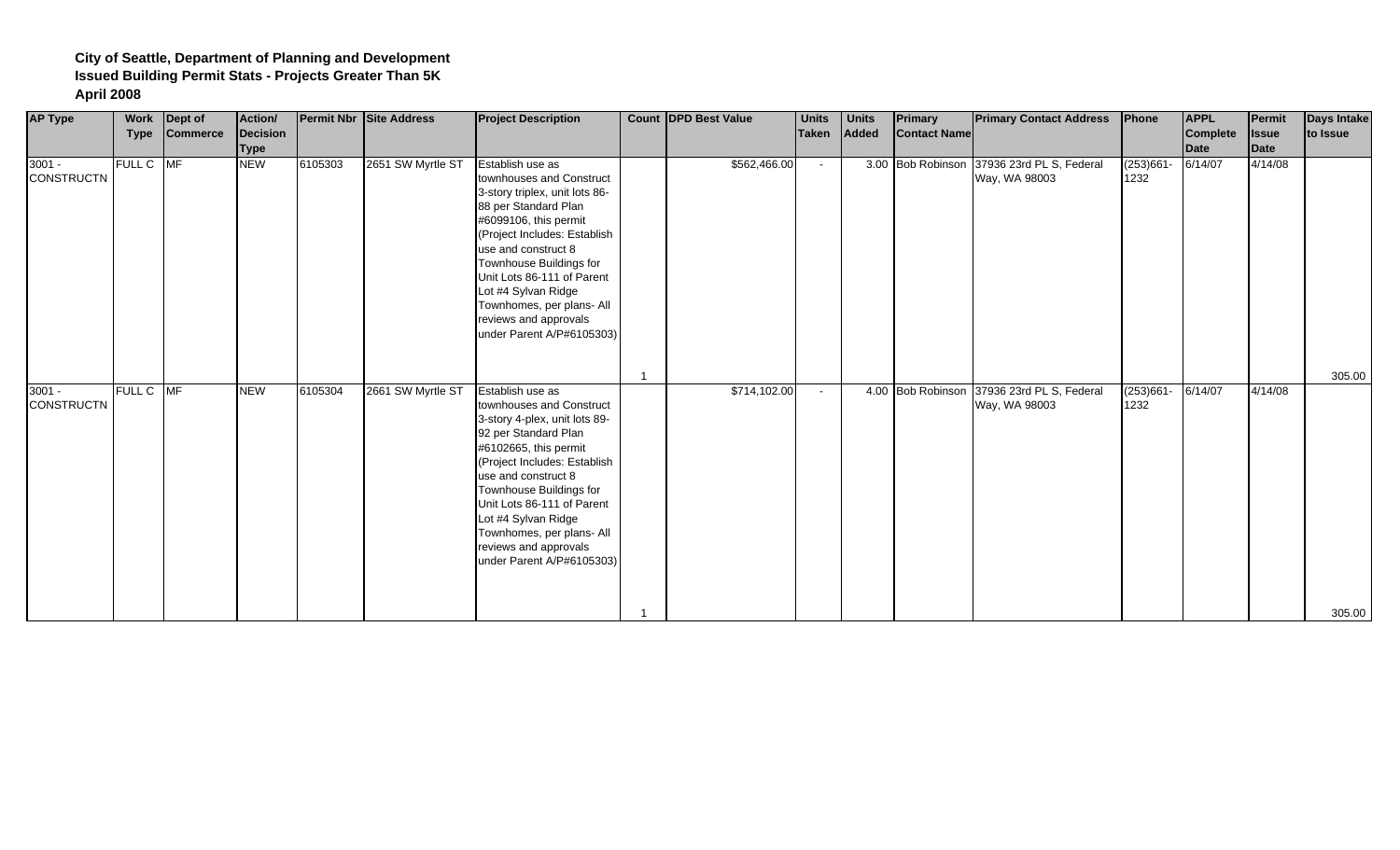| <b>AP Type</b>                | <b>Work</b><br><b>Type</b> | Dept of<br><b>Commerce</b> | Action/<br>Decision<br><b>Type</b> |         | <b>Permit Nbr Site Address</b> | <b>Project Description</b>                                                                                                                                                                                                                                                                                                                                | <b>Count DPD Best Value</b> | <b>Units</b><br>Taken | <b>Units</b><br>Added | <b>Primary</b><br><b>Contact Name</b> | <b>Primary Contact Address</b>            | Phone                | <b>APPL</b><br><b>Complete</b><br><b>Date</b> | Permit<br><b>Issue</b><br>Date | Days Intake<br>to Issue |
|-------------------------------|----------------------------|----------------------------|------------------------------------|---------|--------------------------------|-----------------------------------------------------------------------------------------------------------------------------------------------------------------------------------------------------------------------------------------------------------------------------------------------------------------------------------------------------------|-----------------------------|-----------------------|-----------------------|---------------------------------------|-------------------------------------------|----------------------|-----------------------------------------------|--------------------------------|-------------------------|
| $3001 -$<br><b>CONSTRUCTN</b> | FULL C MF                  |                            | <b>NEW</b>                         | 6105303 | 2651 SW Myrtle ST              | Establish use as<br>townhouses and Construct<br>3-story triplex, unit lots 86-<br>88 per Standard Plan<br>#6099106, this permit<br>(Project Includes: Establish<br>use and construct 8<br>Townhouse Buildings for<br>Unit Lots 86-111 of Parent<br>Lot #4 Sylvan Ridge<br>Townhomes, per plans- All<br>reviews and approvals<br>under Parent A/P#6105303) | \$562,466.00                | $\sim$                |                       | 3.00 Bob Robinson                     | 37936 23rd PL S, Federal<br>Way, WA 98003 | $(253)661 -$<br>1232 | 6/14/07                                       | 4/14/08                        | 305.00                  |
| $3001 -$<br><b>CONSTRUCTN</b> | FULL C MF                  |                            | <b>NEW</b>                         | 6105304 | 2661 SW Myrtle ST              | Establish use as<br>townhouses and Construct<br>3-story 4-plex, unit lots 89-<br>92 per Standard Plan<br>#6102665, this permit<br>(Project Includes: Establish<br>use and construct 8<br>Townhouse Buildings for<br>Unit Lots 86-111 of Parent<br>Lot #4 Sylvan Ridge<br>Townhomes, per plans- All<br>reviews and approvals<br>under Parent A/P#6105303)  | \$714,102.00                | $\sim$                |                       | 4.00 Bob Robinson                     | 37936 23rd PL S, Federal<br>Way, WA 98003 | $(253)661 -$<br>1232 | 6/14/07                                       | 4/14/08                        | 305.00                  |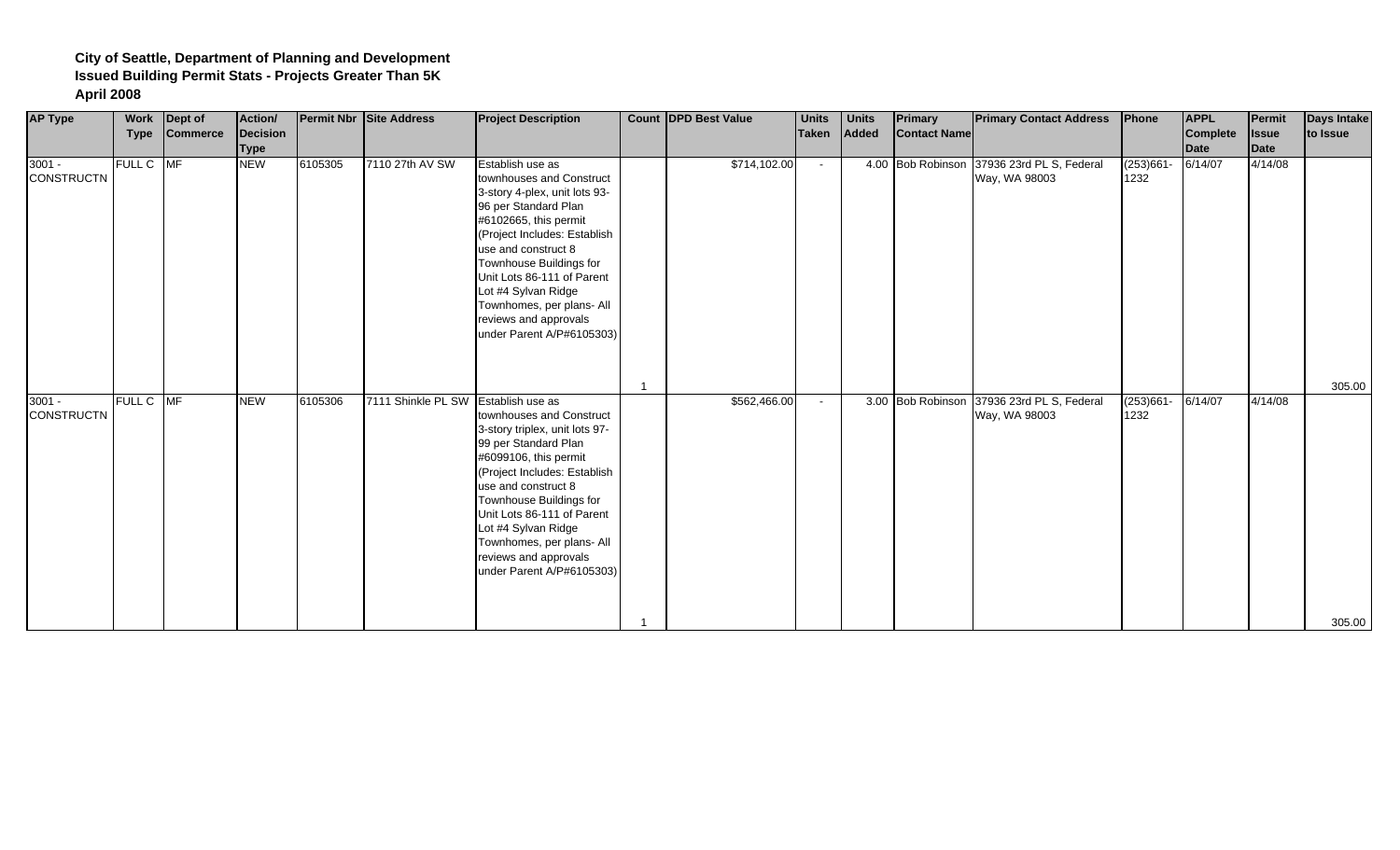| <b>AP Type</b>                | <b>Type</b> | Work Dept of<br>Commerce | Action/<br>Decision<br><b>Type</b> |         | <b>Permit Nbr Site Address</b>      | <b>Project Description</b>                                                                                                                                                                                                                                                                                                                               | <b>Count DPD Best Value</b> | <b>Units</b><br>Taken | <b>Units</b><br>Added | <b>Primary</b><br><b>Contact Name</b> | <b>Primary Contact Address</b>                              | Phone                | <b>APPL</b><br><b>Complete</b><br><b>Date</b> | Permit<br><b>Issue</b><br>Date | Days Intake<br>to Issue |
|-------------------------------|-------------|--------------------------|------------------------------------|---------|-------------------------------------|----------------------------------------------------------------------------------------------------------------------------------------------------------------------------------------------------------------------------------------------------------------------------------------------------------------------------------------------------------|-----------------------------|-----------------------|-----------------------|---------------------------------------|-------------------------------------------------------------|----------------------|-----------------------------------------------|--------------------------------|-------------------------|
| $3001 -$<br><b>CONSTRUCTN</b> | FULL C MF   |                          | <b>NEW</b>                         | 6105305 | 7110 27th AV SW                     | Establish use as<br>townhouses and Construct<br>3-story 4-plex, unit lots 93-<br>96 per Standard Plan<br>#6102665, this permit<br>(Project Includes: Establish<br>use and construct 8<br>Townhouse Buildings for<br>Unit Lots 86-111 of Parent<br>Lot #4 Sylvan Ridge<br>Townhomes, per plans- All<br>reviews and approvals<br>under Parent A/P#6105303) | \$714,102.00                | $\sim$                |                       |                                       | 4.00 Bob Robinson 37936 23rd PL S, Federal<br>Way, WA 98003 | $(253)661 -$<br>1232 | 6/14/07                                       | 4/14/08                        |                         |
| $3001 -$                      | FULL C MF   |                          | <b>NEW</b>                         | 6105306 | 7111 Shinkle PL SW Establish use as |                                                                                                                                                                                                                                                                                                                                                          | \$562,466.00                |                       |                       | 3.00 Bob Robinson                     | 37936 23rd PL S, Federal                                    | $(253)661-$          | 6/14/07                                       | 4/14/08                        | 305.00                  |
| <b>CONSTRUCTN</b>             |             |                          |                                    |         |                                     | townhouses and Construct<br>3-story triplex, unit lots 97-<br>99 per Standard Plan<br>#6099106, this permit<br>(Project Includes: Establish<br>use and construct 8<br>Townhouse Buildings for<br>Unit Lots 86-111 of Parent<br>Lot #4 Sylvan Ridge<br>Townhomes, per plans- All<br>reviews and approvals<br>under Parent A/P#6105303)                    |                             |                       |                       |                                       | Way, WA 98003                                               | 1232                 |                                               |                                | 305.00                  |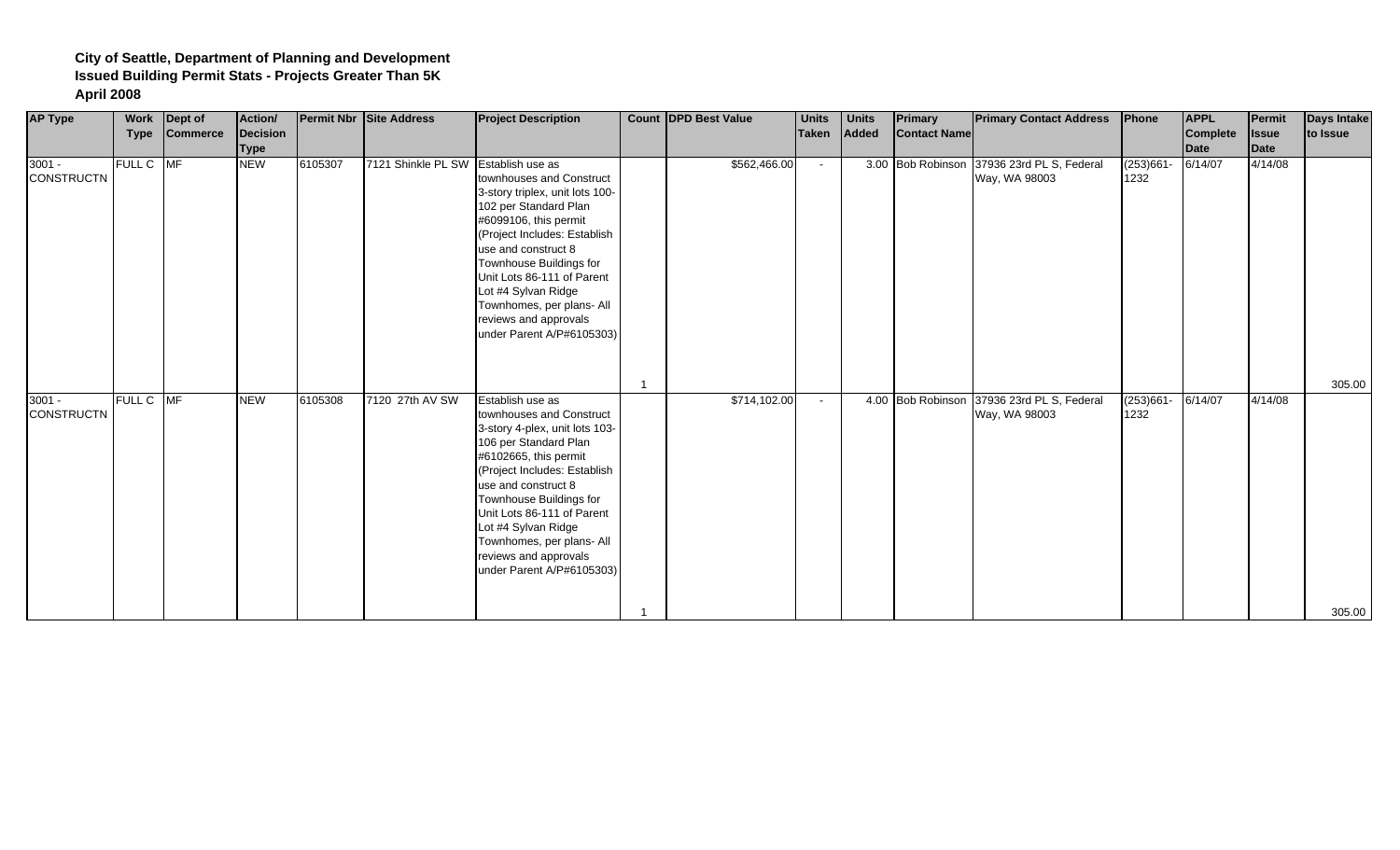| <b>AP Type</b>                | <b>Work</b><br><b>Type</b> | Dept of<br><b>Commerce</b> | Action/<br>Decision<br><b>Type</b> |         | <b>Permit Nbr Site Address</b>      | <b>Project Description</b>                                                                                                                                                                                                                                                                                                                                 | <b>Count DPD Best Value</b> | <b>Units</b><br>Taken | <b>Units</b><br><b>Added</b> | Primary<br><b>Contact Name</b> | <b>Primary Contact Address</b>                              | Phone                | <b>APPL</b><br>Complete<br>Date | Permit<br><b>Issue</b><br>Date | <b>Days Intake</b><br>to Issue |
|-------------------------------|----------------------------|----------------------------|------------------------------------|---------|-------------------------------------|------------------------------------------------------------------------------------------------------------------------------------------------------------------------------------------------------------------------------------------------------------------------------------------------------------------------------------------------------------|-----------------------------|-----------------------|------------------------------|--------------------------------|-------------------------------------------------------------|----------------------|---------------------------------|--------------------------------|--------------------------------|
| $3001 -$<br><b>CONSTRUCTN</b> | FULL C MF                  |                            | <b>NEW</b>                         | 6105307 | 7121 Shinkle PL SW Establish use as | townhouses and Construct<br>3-story triplex, unit lots 100-<br>102 per Standard Plan<br>#6099106, this permit<br>(Project Includes: Establish<br>use and construct 8<br>Townhouse Buildings for<br>Unit Lots 86-111 of Parent<br>Lot #4 Sylvan Ridge<br>Townhomes, per plans- All<br>reviews and approvals<br>under Parent A/P#6105303)                    | \$562,466.00                | $\sim$                |                              |                                | 3.00 Bob Robinson 37936 23rd PL S, Federal<br>Way, WA 98003 | $(253)661 -$<br>1232 | 6/14/07                         | 4/14/08                        |                                |
| $3001 -$<br><b>CONSTRUCTN</b> | FULL C MF                  |                            | <b>NEW</b>                         | 6105308 | 7120 27th AV SW                     | Establish use as<br>townhouses and Construct<br>3-story 4-plex, unit lots 103-<br>106 per Standard Plan<br>#6102665, this permit<br>(Project Includes: Establish<br>use and construct 8<br>Townhouse Buildings for<br>Unit Lots 86-111 of Parent<br>Lot #4 Sylvan Ridge<br>Townhomes, per plans- All<br>reviews and approvals<br>under Parent A/P#6105303) | \$714,102.00                | $\sim$                |                              | 4.00 Bob Robinson              | 37936 23rd PL S, Federal<br>Way, WA 98003                   | $(253)661 -$<br>1232 | 6/14/07                         | 4/14/08                        | 305.00<br>305.00               |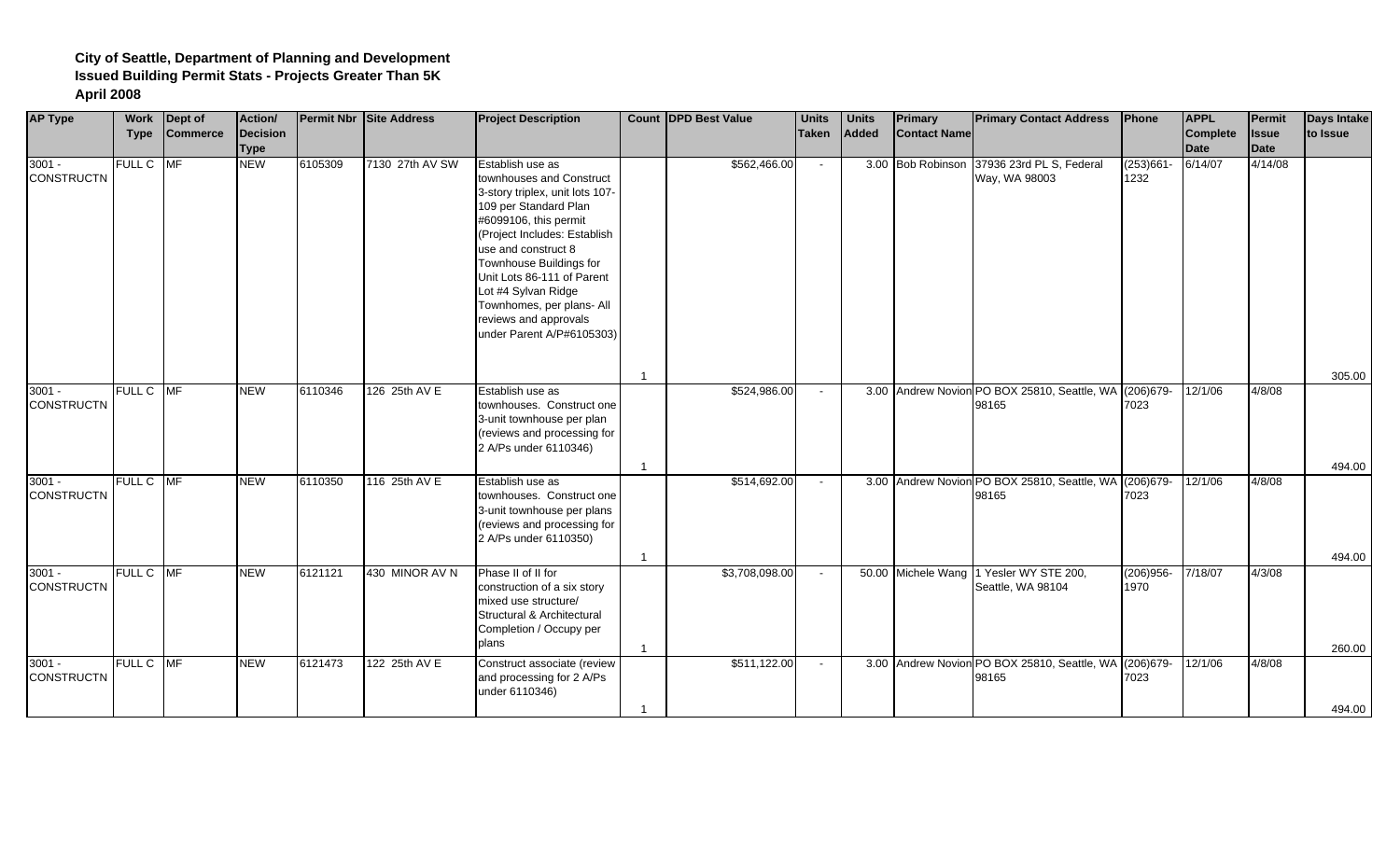| <b>AP Type</b>                | Work        | Dept of         | Action/     |         | <b>Permit Nbr Site Address</b> | <b>Project Description</b>                          | <b>Count DPD Best Value</b> | <b>Units</b> | <b>Units</b> | <b>Primary</b>      | <b>Primary Contact Address</b>                         | Phone                | <b>APPL</b>     | Permit       | <b>Days Intake</b> |
|-------------------------------|-------------|-----------------|-------------|---------|--------------------------------|-----------------------------------------------------|-----------------------------|--------------|--------------|---------------------|--------------------------------------------------------|----------------------|-----------------|--------------|--------------------|
|                               | <b>Type</b> | <b>Commerce</b> | Decision    |         |                                |                                                     |                             | <b>Taken</b> | Added        | <b>Contact Name</b> |                                                        |                      | <b>Complete</b> | <b>Issue</b> | to Issue           |
|                               |             |                 | <b>Type</b> |         |                                |                                                     |                             |              |              |                     |                                                        |                      | <b>Date</b>     | Date         |                    |
| $3001 -$<br><b>CONSTRUCTN</b> | FULL C MF   |                 | <b>NEW</b>  | 6105309 | 7130 27th AV SW                | Establish use as<br>townhouses and Construct        | \$562,466.00                | $\sim$       |              | 3.00 Bob Robinson   | 37936 23rd PL S, Federal<br>Way, WA 98003              | $(253)661 -$<br>1232 | 6/14/07         | 4/14/08      |                    |
|                               |             |                 |             |         |                                |                                                     |                             |              |              |                     |                                                        |                      |                 |              |                    |
|                               |             |                 |             |         |                                | 3-story triplex, unit lots 107-                     |                             |              |              |                     |                                                        |                      |                 |              |                    |
|                               |             |                 |             |         |                                | 109 per Standard Plan                               |                             |              |              |                     |                                                        |                      |                 |              |                    |
|                               |             |                 |             |         |                                | #6099106, this permit                               |                             |              |              |                     |                                                        |                      |                 |              |                    |
|                               |             |                 |             |         |                                | (Project Includes: Establish                        |                             |              |              |                     |                                                        |                      |                 |              |                    |
|                               |             |                 |             |         |                                | use and construct 8                                 |                             |              |              |                     |                                                        |                      |                 |              |                    |
|                               |             |                 |             |         |                                | Townhouse Buildings for                             |                             |              |              |                     |                                                        |                      |                 |              |                    |
|                               |             |                 |             |         |                                | Unit Lots 86-111 of Parent                          |                             |              |              |                     |                                                        |                      |                 |              |                    |
|                               |             |                 |             |         |                                | Lot #4 Sylvan Ridge                                 |                             |              |              |                     |                                                        |                      |                 |              |                    |
|                               |             |                 |             |         |                                | Townhomes, per plans- All                           |                             |              |              |                     |                                                        |                      |                 |              |                    |
|                               |             |                 |             |         |                                | reviews and approvals                               |                             |              |              |                     |                                                        |                      |                 |              |                    |
|                               |             |                 |             |         |                                | under Parent A/P#6105303)                           |                             |              |              |                     |                                                        |                      |                 |              |                    |
|                               |             |                 |             |         |                                |                                                     |                             |              |              |                     |                                                        |                      |                 |              |                    |
|                               |             |                 |             |         |                                |                                                     |                             |              |              |                     |                                                        |                      |                 |              | 305.00             |
| $3001 -$                      | FULL C MF   |                 | <b>NEW</b>  | 6110346 | 126 25th AV E                  | Establish use as                                    | \$524,986.00                | $\sim$       |              |                     | 3.00 Andrew Novion PO BOX 25810, Seattle, WA (206)679- |                      | 12/1/06         | 4/8/08       |                    |
| <b>CONSTRUCTN</b>             |             |                 |             |         |                                | townhouses. Construct one                           |                             |              |              |                     | 98165                                                  | 7023                 |                 |              |                    |
|                               |             |                 |             |         |                                | 3-unit townhouse per plan                           |                             |              |              |                     |                                                        |                      |                 |              |                    |
|                               |             |                 |             |         |                                | (reviews and processing for                         |                             |              |              |                     |                                                        |                      |                 |              |                    |
|                               |             |                 |             |         |                                | 2 A/Ps under 6110346)                               |                             |              |              |                     |                                                        |                      |                 |              |                    |
|                               |             |                 |             |         |                                |                                                     |                             |              |              |                     |                                                        |                      |                 |              | 494.00             |
| $3001 -$                      | FULL C MF   |                 | <b>NEW</b>  | 6110350 | 116 25th AV E                  | Establish use as                                    | \$514,692.00                |              |              |                     | 3.00 Andrew Novion PO BOX 25810, Seattle, WA (206)679- |                      | 12/1/06         | 4/8/08       |                    |
| <b>CONSTRUCTN</b>             |             |                 |             |         |                                | townhouses. Construct one                           |                             |              |              |                     | 98165                                                  | 7023                 |                 |              |                    |
|                               |             |                 |             |         |                                | 3-unit townhouse per plans                          |                             |              |              |                     |                                                        |                      |                 |              |                    |
|                               |             |                 |             |         |                                | (reviews and processing for                         |                             |              |              |                     |                                                        |                      |                 |              |                    |
|                               |             |                 |             |         |                                | 2 A/Ps under 6110350)                               |                             |              |              |                     |                                                        |                      |                 |              |                    |
|                               |             |                 |             |         |                                |                                                     |                             |              |              |                     |                                                        |                      |                 |              |                    |
|                               | FULL C MF   |                 |             |         |                                |                                                     |                             |              |              |                     |                                                        |                      |                 |              | 494.00             |
| $3001 -$<br><b>CONSTRUCTN</b> |             |                 | <b>NEW</b>  | 6121121 | 430 MINOR AV N                 | Phase II of II for                                  | \$3,708,098.00              | $\sim$       |              |                     | 50.00 Michele Wang 1 Yesler WY STE 200,                | $(206)956 -$         | 7/18/07         | 4/3/08       |                    |
|                               |             |                 |             |         |                                | construction of a six story<br>mixed use structure/ |                             |              |              |                     | Seattle, WA 98104                                      | 1970                 |                 |              |                    |
|                               |             |                 |             |         |                                | Structural & Architectural                          |                             |              |              |                     |                                                        |                      |                 |              |                    |
|                               |             |                 |             |         |                                | Completion / Occupy per                             |                             |              |              |                     |                                                        |                      |                 |              |                    |
|                               |             |                 |             |         |                                | plans                                               |                             |              |              |                     |                                                        |                      |                 |              |                    |
|                               |             |                 |             |         |                                |                                                     |                             |              |              |                     |                                                        |                      |                 |              | 260.00             |
| $3001 -$                      | FULL C MF   |                 | <b>NEW</b>  | 6121473 | 122 25th AV E                  | Construct associate (review                         | \$511,122.00                | $\sim$       |              |                     | 3.00 Andrew Novion PO BOX 25810, Seattle, WA (206)679- |                      | 12/1/06         | 4/8/08       |                    |
| <b>CONSTRUCTN</b>             |             |                 |             |         |                                | and processing for 2 A/Ps                           |                             |              |              |                     | 98165                                                  | 7023                 |                 |              |                    |
|                               |             |                 |             |         |                                | under 6110346)                                      |                             |              |              |                     |                                                        |                      |                 |              |                    |
|                               |             |                 |             |         |                                |                                                     |                             |              |              |                     |                                                        |                      |                 |              | 494.00             |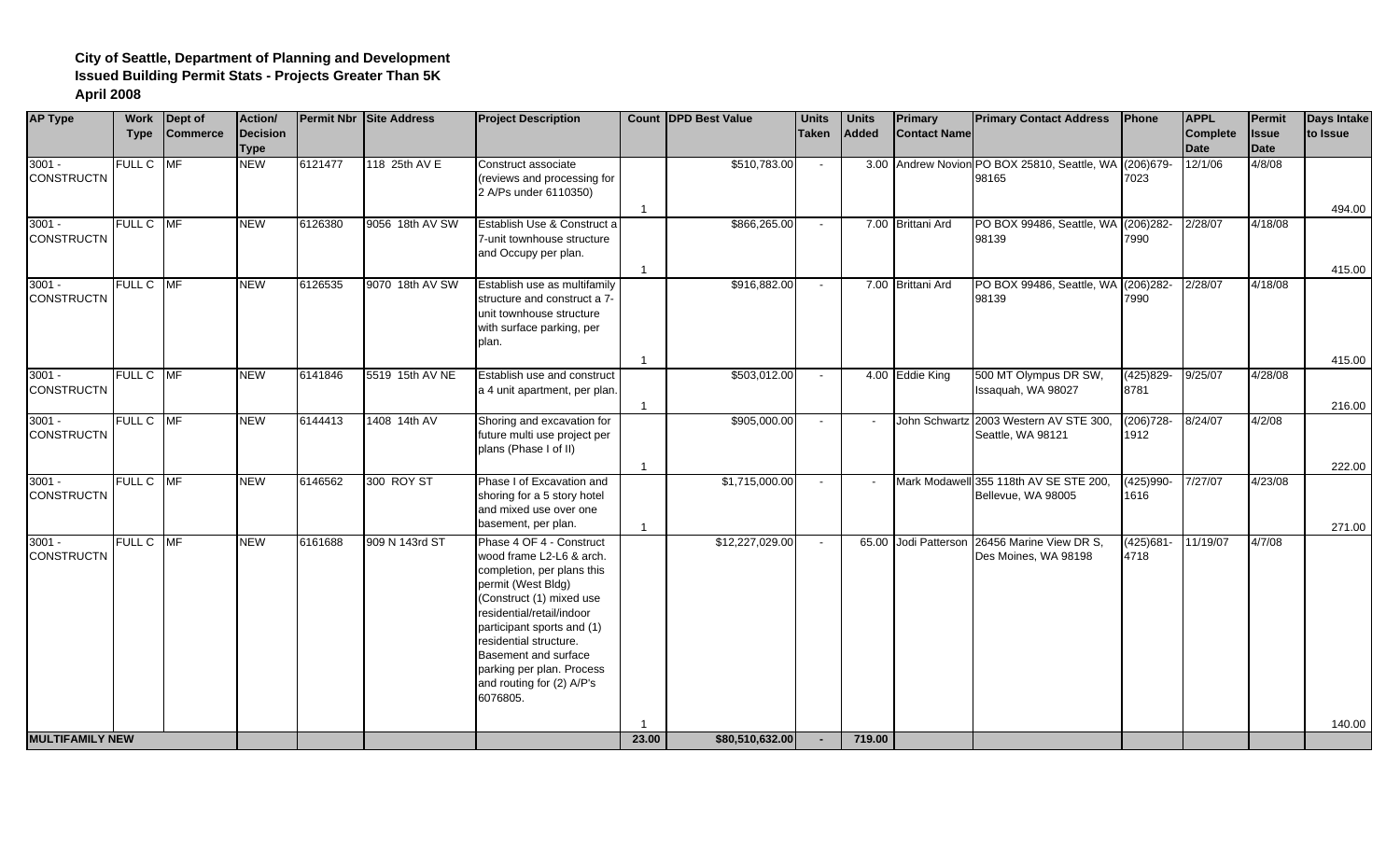| <b>AP Type</b>                | Work<br><b>Type</b> | Dept of<br><b>Commerce</b> | Action/<br>Decision<br><b>Type</b> |         | Permit Nbr Site Address | <b>Project Description</b>                                                                                                                                                                                                                                                                                              |                                  | <b>Count IDPD Best Value</b> | <b>Units</b><br>Taken | <b>Units</b><br>Added | <b>Primary</b><br><b>Contact Name</b> | <b>Primary Contact Address</b>                                  | Phone                | <b>APPL</b><br><b>Complete</b><br><b>Date</b> | Permit<br><b>Issue</b><br>Date | <b>Days Intake</b><br>to Issue |
|-------------------------------|---------------------|----------------------------|------------------------------------|---------|-------------------------|-------------------------------------------------------------------------------------------------------------------------------------------------------------------------------------------------------------------------------------------------------------------------------------------------------------------------|----------------------------------|------------------------------|-----------------------|-----------------------|---------------------------------------|-----------------------------------------------------------------|----------------------|-----------------------------------------------|--------------------------------|--------------------------------|
| $3001 -$<br><b>CONSTRUCTN</b> | <b>FULL C</b>       | MF                         | <b>NEW</b>                         | 6121477 | 118 25th AV E           | Construct associate<br>(reviews and processing for<br>2 A/Ps under 6110350)                                                                                                                                                                                                                                             |                                  | \$510,783.00                 | $\sim$                |                       |                                       | 3.00 Andrew Novion PO BOX 25810, Seattle, WA (206)679-<br>98165 | 7023                 | 12/1/06                                       | 4/8/08                         |                                |
| $3001 -$<br><b>CONSTRUCTN</b> | FULL C MF           |                            | <b>NEW</b>                         | 6126380 | 9056 18th AV SW         | Establish Use & Construct a<br>7-unit townhouse structure<br>and Occupy per plan.                                                                                                                                                                                                                                       | -1<br>$\overline{1}$             | \$866,265.00                 | $\sim$                |                       | 7.00 Brittani Ard                     | PO BOX 99486, Seattle, WA (206)282-<br>98139                    | 7990                 | 2/28/07                                       | 4/18/08                        | 494.00<br>415.00               |
| $3001 -$<br><b>CONSTRUCTN</b> | FULL C MF           |                            | <b>NEW</b>                         | 6126535 | 9070 18th AV SW         | Establish use as multifamily<br>structure and construct a 7-<br>unit townhouse structure<br>with surface parking, per<br>plan.                                                                                                                                                                                          |                                  | \$916,882.00                 | $\sim$                |                       | 7.00 Brittani Ard                     | PO BOX 99486, Seattle, WA (206)282-<br>98139                    | 7990                 | 2/28/07                                       | 4/18/08                        |                                |
| $3001 -$<br><b>CONSTRUCTN</b> | FULL C MF           |                            | <b>NEW</b>                         | 6141846 | 5519 15th AV NE         | Establish use and construct<br>a 4 unit apartment, per plan.                                                                                                                                                                                                                                                            | $\overline{1}$<br>$\overline{1}$ | \$503,012.00                 | $\sim$                |                       | 4.00 Eddie King                       | 500 MT Olympus DR SW,<br>Issaquah, WA 98027                     | $(425)829 -$<br>8781 | 9/25/07                                       | 4/28/08                        | 415.00<br>216.00               |
| $3001 -$<br><b>CONSTRUCTN</b> | FULL C MF           |                            | <b>NEW</b>                         | 6144413 | 1408 14th AV            | Shoring and excavation for<br>future multi use project per<br>plans (Phase I of II)                                                                                                                                                                                                                                     |                                  | \$905,000.00                 | $\mathbf{r}$          |                       |                                       | John Schwartz 2003 Western AV STE 300<br>Seattle, WA 98121      | $(206)728 -$<br>1912 | 8/24/07                                       | 4/2/08                         |                                |
| $3001 -$<br><b>CONSTRUCTN</b> | FULL C MF           |                            | <b>NEW</b>                         | 6146562 | 300 ROY ST              | Phase I of Excavation and<br>shoring for a 5 story hotel<br>and mixed use over one<br>basement, per plan.                                                                                                                                                                                                               | $\overline{1}$<br>$\overline{1}$ | \$1,715,000.00               | $\sim$                |                       | <b>Mark Modawel</b>                   | 1355 118th AV SE STE 200,<br>Bellevue, WA 98005                 | $(425)990 -$<br>1616 | 7/27/07                                       | 4/23/08                        | 222.00<br>271.00               |
| $3001 -$<br><b>CONSTRUCTN</b> | FULL C MF           |                            | <b>NEW</b>                         | 6161688 | 909 N 143rd ST          | Phase 4 OF 4 - Construct<br>wood frame L2-L6 & arch.<br>completion, per plans this<br>permit (West Bldg)<br>(Construct (1) mixed use<br>residential/retail/indoor<br>participant sports and (1)<br>residential structure.<br>Basement and surface<br>parking per plan. Process<br>and routing for (2) A/P's<br>6076805. |                                  | \$12,227,029.00              | $\sim$                |                       | 65.00 Jodi Patterson                  | 26456 Marine View DR S,<br>Des Moines, WA 98198                 | $(425)681 -$<br>4718 | 11/19/07                                      | 4/7/08                         |                                |
| <b>MULTIFAMILY NEW</b>        |                     |                            |                                    |         |                         |                                                                                                                                                                                                                                                                                                                         | 23.00                            | \$80,510,632.00              | $\sim$                | 719.00                |                                       |                                                                 |                      |                                               |                                | 140.00                         |